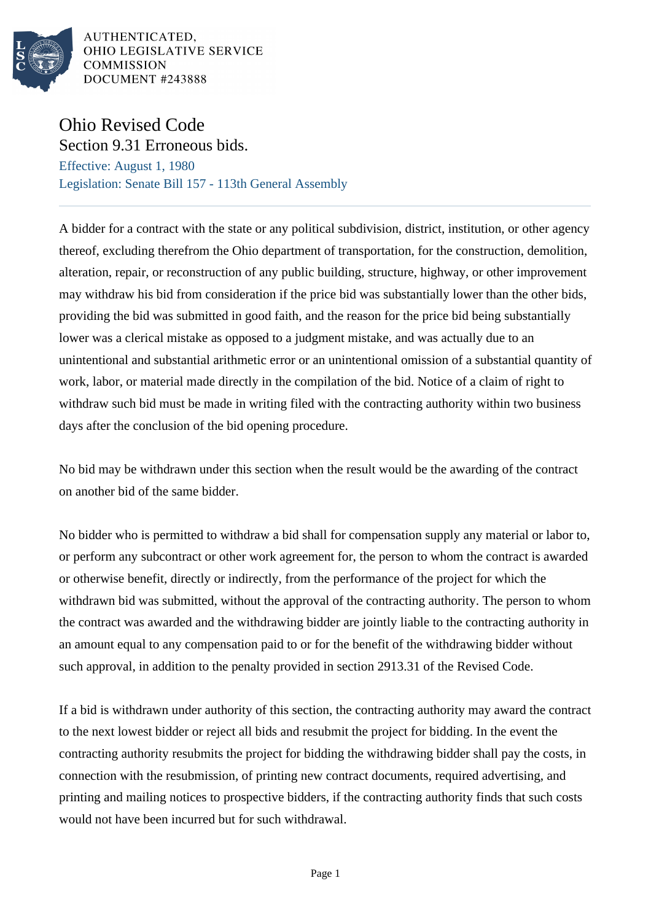

AUTHENTICATED, OHIO LEGISLATIVE SERVICE **COMMISSION** DOCUMENT #243888

## Ohio Revised Code Section 9.31 Erroneous bids.

Effective: August 1, 1980 Legislation: Senate Bill 157 - 113th General Assembly

A bidder for a contract with the state or any political subdivision, district, institution, or other agency thereof, excluding therefrom the Ohio department of transportation, for the construction, demolition, alteration, repair, or reconstruction of any public building, structure, highway, or other improvement may withdraw his bid from consideration if the price bid was substantially lower than the other bids, providing the bid was submitted in good faith, and the reason for the price bid being substantially lower was a clerical mistake as opposed to a judgment mistake, and was actually due to an unintentional and substantial arithmetic error or an unintentional omission of a substantial quantity of work, labor, or material made directly in the compilation of the bid. Notice of a claim of right to withdraw such bid must be made in writing filed with the contracting authority within two business days after the conclusion of the bid opening procedure.

No bid may be withdrawn under this section when the result would be the awarding of the contract on another bid of the same bidder.

No bidder who is permitted to withdraw a bid shall for compensation supply any material or labor to, or perform any subcontract or other work agreement for, the person to whom the contract is awarded or otherwise benefit, directly or indirectly, from the performance of the project for which the withdrawn bid was submitted, without the approval of the contracting authority. The person to whom the contract was awarded and the withdrawing bidder are jointly liable to the contracting authority in an amount equal to any compensation paid to or for the benefit of the withdrawing bidder without such approval, in addition to the penalty provided in section 2913.31 of the Revised Code.

If a bid is withdrawn under authority of this section, the contracting authority may award the contract to the next lowest bidder or reject all bids and resubmit the project for bidding. In the event the contracting authority resubmits the project for bidding the withdrawing bidder shall pay the costs, in connection with the resubmission, of printing new contract documents, required advertising, and printing and mailing notices to prospective bidders, if the contracting authority finds that such costs would not have been incurred but for such withdrawal.